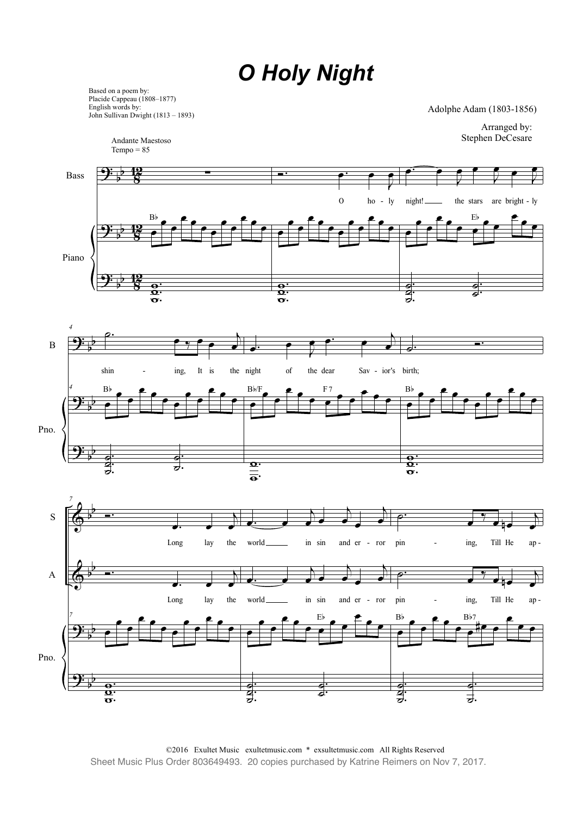Based on a poem by: Placide Cappeau (1808–1877) English words by: John Sullivan Dwight (1813 – 1893)

Adolphe Adam (1803-1856)

Arranged by: Stephen DeCesare

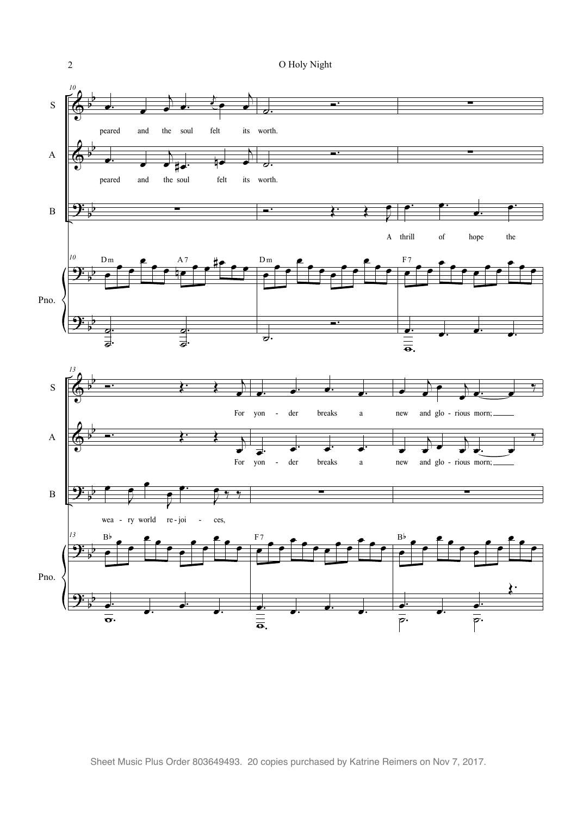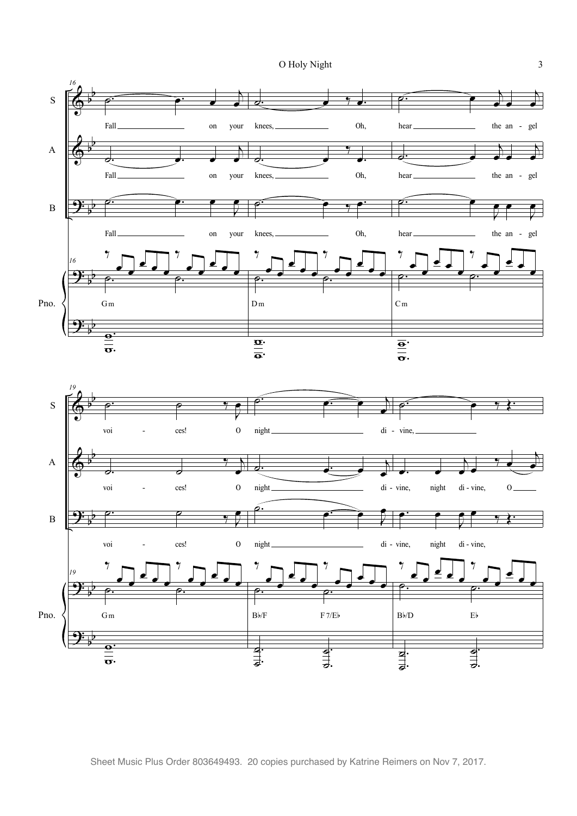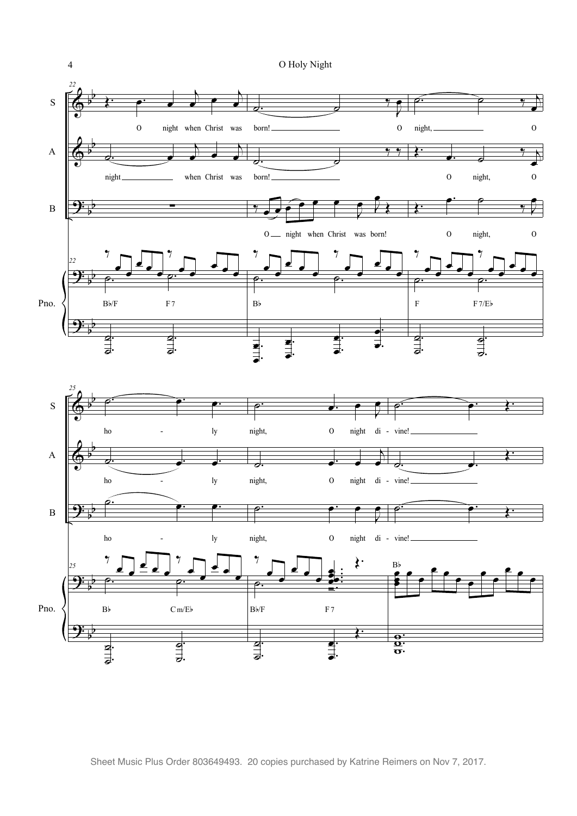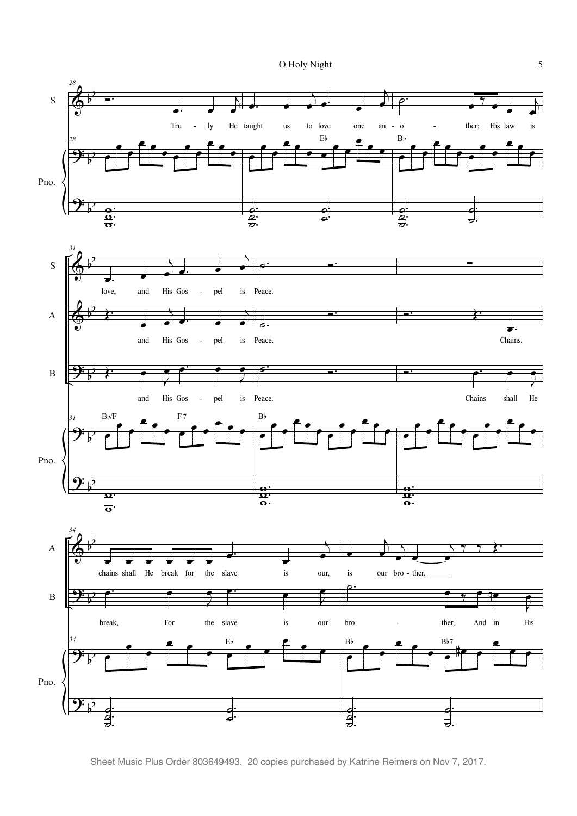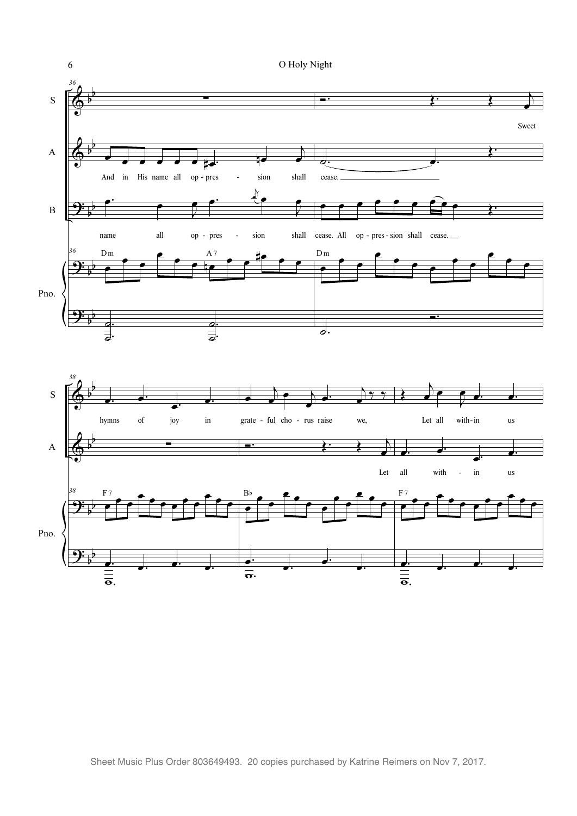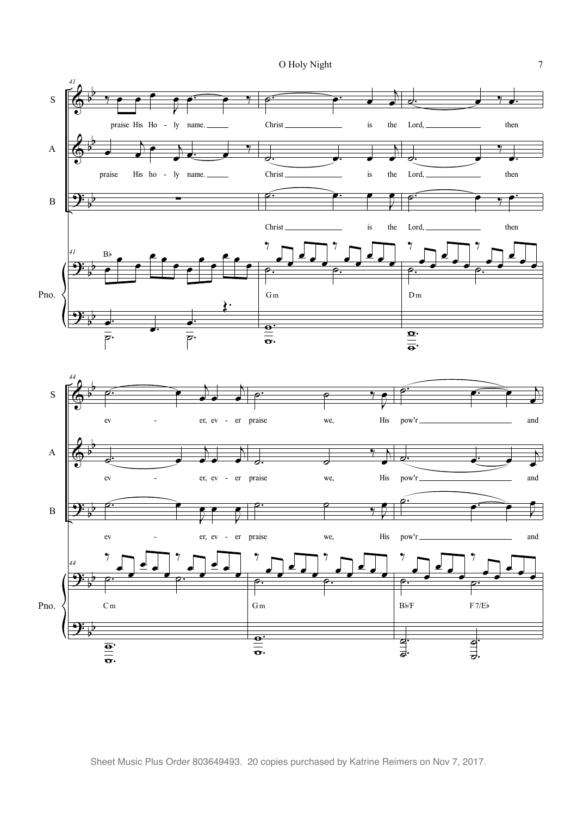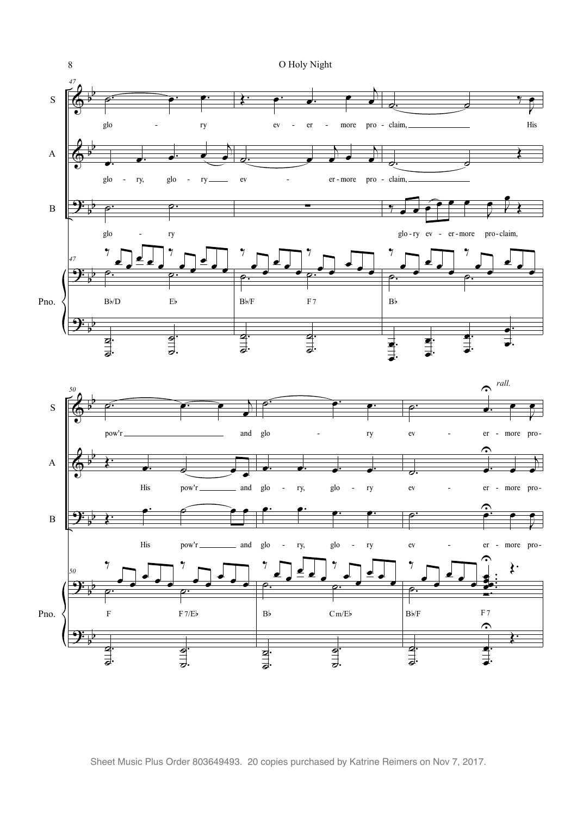

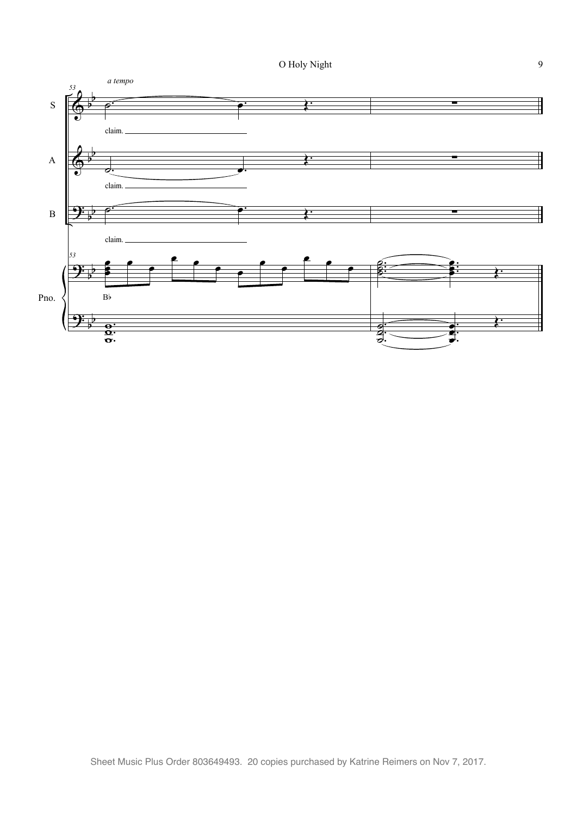

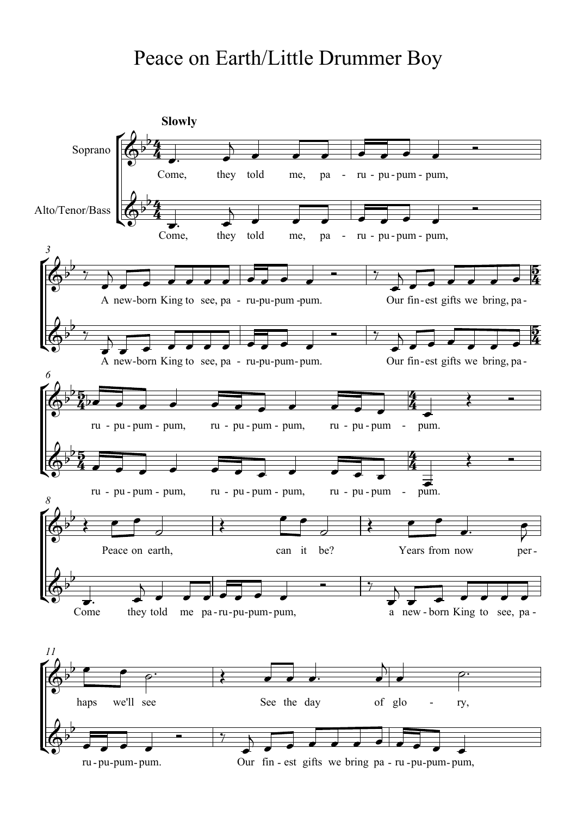## Peace on Earth/Little Drummer Boy

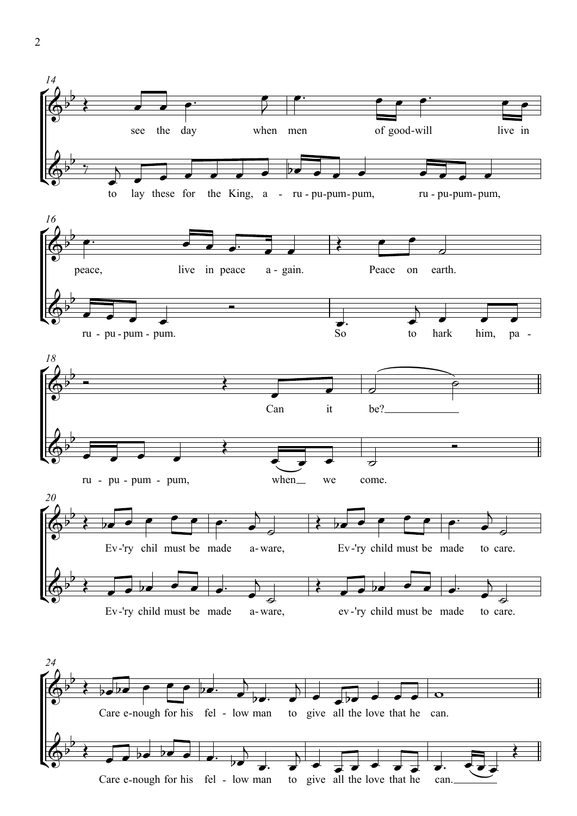

to give all the love that he Care e-nough for his fel - low man can.